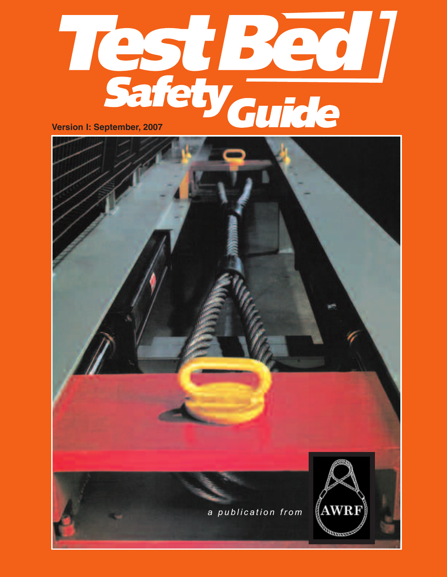

*a p u b l i c a t i o n f r o m* gama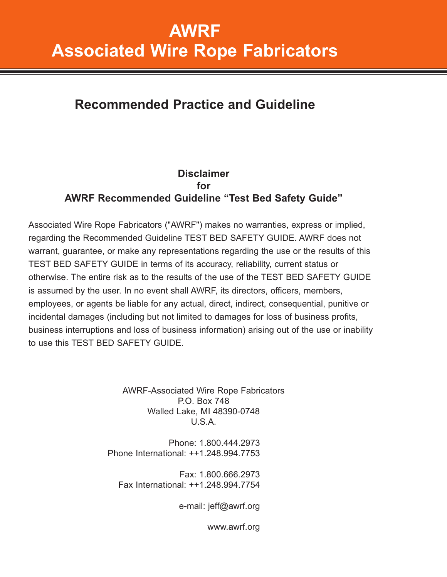## **AWRF Associated Wire Rope Fabricators**

## **Recommended Practice and Guideline**

### **Disclaimer for AWRF Recommended Guideline "Test Bed Safety Guide"**

Associated Wire Rope Fabricators ("AWRF") makes no warranties, express or implied, regarding the Recommended Guideline TEST BED SAFETY GUIDE. AWRF does not warrant, guarantee, or make any representations regarding the use or the results of this TEST BED SAFETY GUIDE in terms of its accuracy, reliability, current status or otherwise. The entire risk as to the results of the use of the TEST BED SAFETY GUIDE is assumed by the user. In no event shall AWRF, its directors, officers, members, employees, or agents be liable for any actual, direct, indirect, consequential, punitive or incidental damages (including but not limited to damages for loss of business profits, business interruptions and loss of business information) arising out of the use or inability to use this TEST BED SAFETY GUIDE.

> AWRF-Associated Wire Rope Fabricators P.O. Box 748 Walled Lake, MI 48390-0748 U.S.A.

Phone: 1.800.444.2973 Phone International: ++1.248.994.7753

Fax: 1.800.666.2973 Fax International: ++1.248.994.7754

e-mail: jeff@awrf.org

www.awrf.org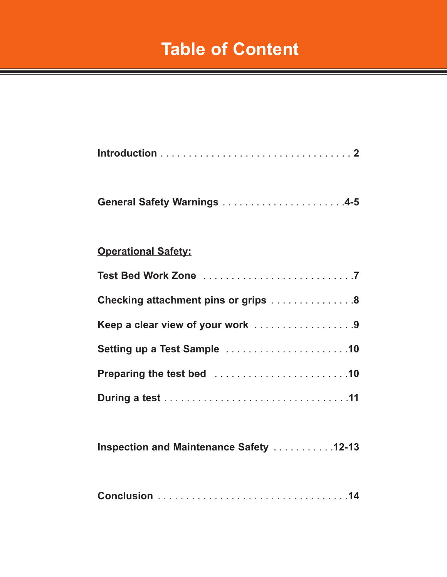# **Table of Content**

## **General Safety Warnings** . . . . . . . . . . . . . . . . . . . . . .**4-5**

### **Operational Safety:**

| Checking attachment pins or grips 8 |
|-------------------------------------|
| Keep a clear view of your work 9    |
|                                     |
|                                     |
|                                     |

**Inspection and Maintenance Safety** . . . . . . . . . . .**12-13**

|--|--|--|--|--|--|--|--|--|--|--|--|--|--|--|--|--|--|--|--|--|--|--|--|--|--|--|--|--|--|--|--|--|--|--|--|--|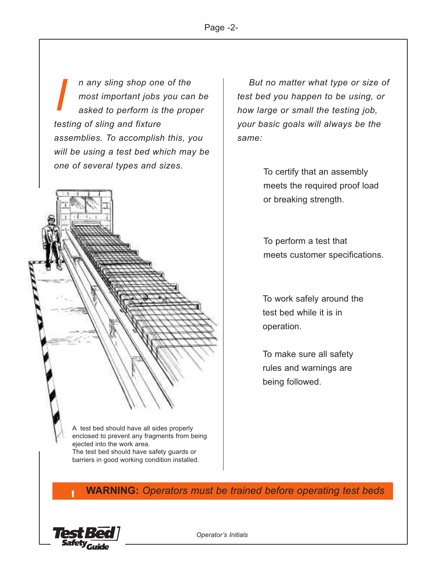*n any sling shop one of the most important jobs you can be asked to perform is the proper testing of sling and fixture assemblies. To accomplish this, you will be using a test bed which may be one of several types and sizes. I*



A test bed should have all sides properly enclosed to prevent any fragments from being ejected into the work area.

The test bed should have safety guards or barriers in good working condition installed.

*But no matter what type or size of test bed you happen to be using, or how large or small the testing job, your basic goals will always be the same:*

> To certify that an assembly meets the required proof load or breaking strength.

To perform a test that meets customer specifications.

To work safely around the test bed while it is in operation.

To make sure all safety rules and warnings are being followed.

**WARNING:** *Operators must be trained before operating test beds* !

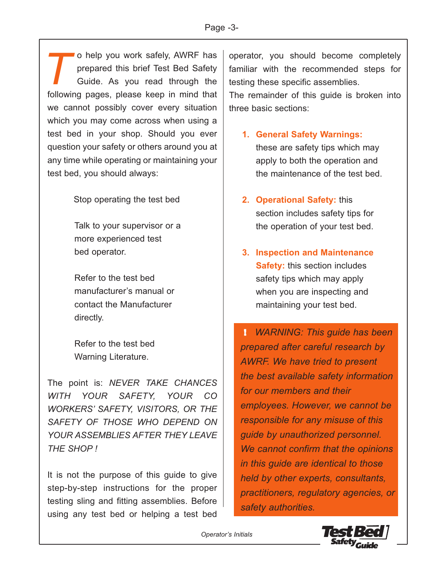o help you work safely, AWRF has prepared this brief Test Bed Safety Guide. As you read through the following pages, please keep in mind that we cannot possibly cover every situation which you may come across when using a test bed in your shop. Should you ever question your safety or others around you at any time while operating or maintaining your test bed, you should always: *T*

Stop operating the test bed

Talk to your supervisor or a more experienced test bed operator.

Refer to the test bed manufacturer's manual or contact the Manufacturer directly.

Refer to the test bed Warning Literature.

The point is: *NEVER TAKE CHANCES WITH YOUR SAFETY, YOUR CO WORKERS' SAFETY, VISITORS, OR THE SAFETY OF THOSE WHO DEPEND ON YOUR ASSEMBLIES AFTER THEY LEAVE THE SHOP !*

It is not the purpose of this guide to give step-by-step instructions for the proper testing sling and fitting assemblies. Before using any test bed or helping a test bed

operator, you should become completely familiar with the recommended steps for testing these specific assemblies.

The remainder of this guide is broken into three basic sections:

- **1. General Safety Warnings:** these are safety tips which may apply to both the operation and the maintenance of the test bed.
- **2. Operational Safety:** this section includes safety tips for the operation of your test bed.
- **3. Inspection and Maintenance Safety:** this section includes safety tips which may apply when you are inspecting and maintaining your test bed.

*WARNING: This guide has been* !*prepared after careful research by AWRF. We have tried to present the best available safety information for our members and their employees. However, we cannot be responsible for any misuse of this guide by unauthorized personnel. We cannot confirm that the opinions in this guide are identical to those held by other experts, consultants, practitioners, regulatory agencies, or safety authorities.*

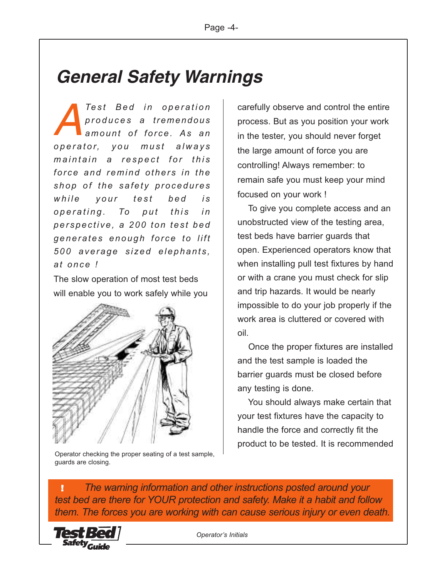# *General Safety Warnings*

 $T$ *est Bed in operation p r o d u c e s a tremendous a m o un t o f f or ce . As a n p perator, you must always*  $m$  *a intain* a *respect for this fo r c e a n d re m i n d oth er s i n the shop of the safety procedures while your test bed is p perating.* To *put this in pe r sp e c t i ve, a 2 0 0 to n te s t be d g en e r a te s e n ough f o r c e to l i ft 5 00 a ver a g e s i z ed e l ep h an t s , at o n ce ! A*

The slow operation of most test beds will enable you to work safely while you



Operator checking the proper seating of a test sample, guards are closing.

carefully observe and control the entire process. But as you position your work in the tester, you should never forget the large amount of force you are controlling! Always remember: to remain safe you must keep your mind focused on your work !

To give you complete access and an unobstructed view of the testing area, test beds have barrier guards that open. Experienced operators know that when installing pull test fixtures by hand or with a crane you must check for slip and trip hazards. It would be nearly impossible to do your job properly if the work area is cluttered or covered with oil.

Once the proper fixtures are installed and the test sample is loaded the barrier guards must be closed before any testing is done.

You should always make certain that your test fixtures have the capacity to handle the force and correctly fit the product to be tested. It is recommended

*The warning information and other instructions posted around your test bed are there for YOUR protection and safety. Make it a habit and follow them. The forces you are working with can cause serious injury or even death.* !

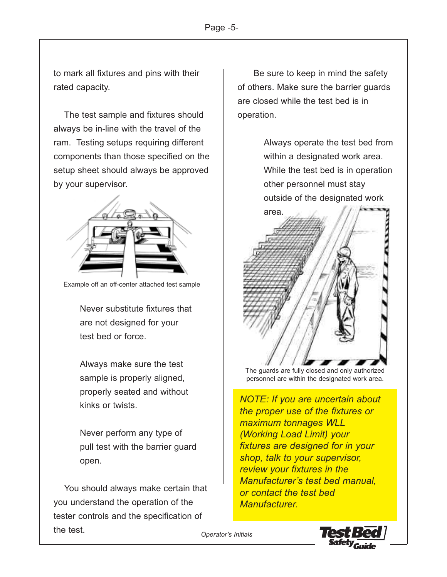to mark all fixtures and pins with their rated capacity.

The test sample and fixtures should always be in-line with the travel of the ram. Testing setups requiring different components than those specified on the setup sheet should always be approved by your supervisor.



Example off an off-center attached test sample

Never substitute fixtures that are not designed for your test bed or force.

Always make sure the test sample is properly aligned, properly seated and without kinks or twists.

Never perform any type of pull test with the barrier guard open.

You should always make certain that you understand the operation of the tester controls and the specification of the test.

Be sure to keep in mind the safety of others. Make sure the barrier guards are closed while the test bed is in operation.

> Always operate the test bed from within a designated work area. While the test bed is in operation other personnel must stay outside of the designated work



The guards are fully closed and only authorized personnel are within the designated work area.

*NOTE: If you are uncertain about the proper use of the fixtures or maximum tonnages WLL (Working Load Limit) your fixtures are designed for in your shop, talk to your supervisor, review your fixtures in the Manufacturer's test bed manual, or contact the test bed Manufacturer.*

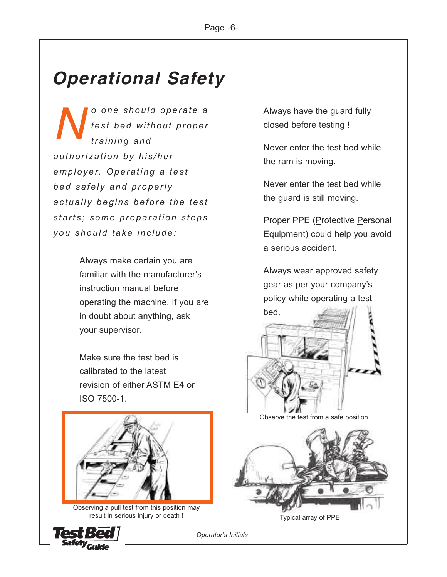# *Operational Safety*

*o o n e s ho u l d op er a te a t e s t be d wi t ho ut p r o pe r tr a i n i n g and au t h o ri za t i o n b y hi s / h e r e m p l oyer. Ope r at i n g a tes t be d s a fe l y an d pr o pe rl y ac t u a l l y b e gi ns be fo r e t he te s t s tart s ; so m e pr e p a r a t i on s te ps you sh o u l d ta ke i nc l u d e : N*

> Always make certain you are familiar with the manufacturer's instruction manual before operating the machine. If you are in doubt about anything, ask your supervisor.

Make sure the test bed is calibrated to the latest revision of either ASTM E4 or ISO 7500-1.



Observing a pull test from this position may result in serious injury or death !



Always have the guard fully closed before testing !

Never enter the test bed while the ram is moving.

Never enter the test bed while the guard is still moving.

Proper PPE (Protective Personal Equipment) could help you avoid a serious accident.

Always wear approved safety gear as per your company's policy while operating a test



Observe the test from a safe position



Typical array of PPE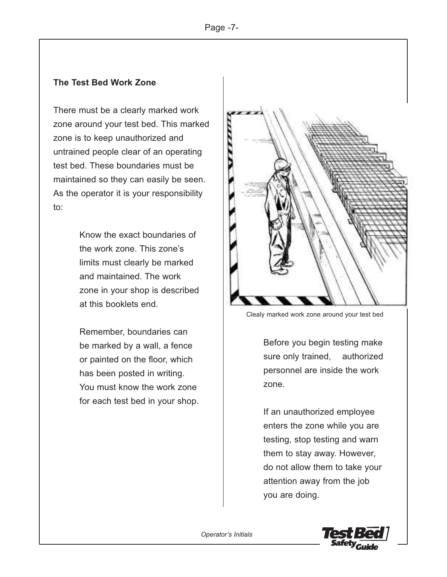#### **The Test Bed Work Zone**

There must be a clearly marked work zone around your test bed. This marked zone is to keep unauthorized and untrained people clear of an operating test bed. These boundaries must be maintained so they can easily be seen. As the operator it is your responsibility to:

> Know the exact boundaries of the work zone. This zone's limits must clearly be marked and maintained. The work zone in your shop is described at this booklets end.

Remember, boundaries can be marked by a wall, a fence or painted on the floor, which has been posted in writing. You must know the work zone for each test bed in your shop.



Clealy marked work zone around your test bed

Before you begin testing make sure only trained, authorized personnel are inside the work zone.

If an unauthorized employee enters the zone while you are testing, stop testing and warn them to stay away. However, do not allow them to take your attention away from the job you are doing.

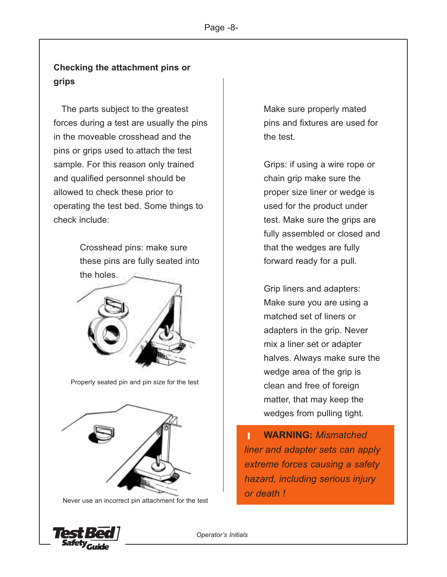### **Checking the attachment pins or grips**

The parts subject to the greatest forces during a test are usually the pins in the moveable crosshead and the pins or grips used to attach the test sample. For this reason only trained and qualified personnel should be allowed to check these prior to operating the test bed. Some things to check include:

> Crosshead pins: make sure these pins are fully seated into the holes.



Properly seated pin and pin size for the test



Never use an incorrect pin attachment for the test

Make sure properly mated pins and fixtures are used for the test.

Grips: if using a wire rope or chain grip make sure the proper size liner or wedge is used for the product under test. Make sure the grips are fully assembled or closed and that the wedges are fully forward ready for a pull.

Grip liners and adapters: Make sure you are using a matched set of liners or adapters in the grip. Never mix a liner set or adapter halves. Always make sure the wedge area of the grip is clean and free of foreign matter, that may keep the wedges from pulling tight.

**WARNING:** *Mismatched liner and adapter sets can apply extreme forces causing a safety hazard, including serious injury or death !* !

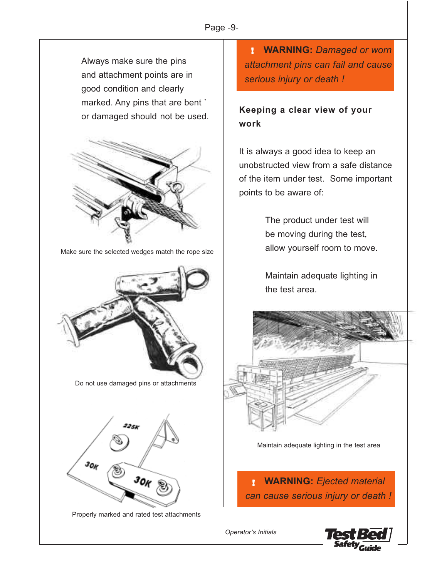Always make sure the pins and attachment points are in good condition and clearly marked. Any pins that are bent `



Make sure the selected wedges match the rope size





**WARNING:** *Damaged or worn* ! *attachment pins can fail and cause serious injury or death !*

### or damaged should not be used. **Keeping <sup>a</sup> clear view of your work**

It is always a good idea to keep an unobstructed view from a safe distance of the item under test. Some important points to be aware of:

> The product under test will be moving during the test, allow yourself room to move.

> Maintain adequate lighting in the test area.



Maintain adequate lighting in the test area

**WARNING:** *Ejected material can cause serious injury or death !* !

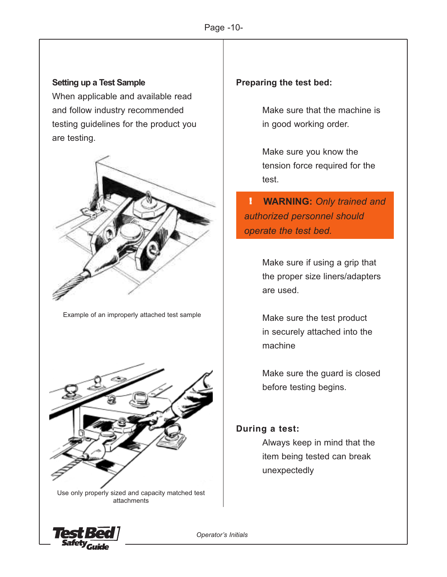#### **Setting up a Test Sample**

When applicable and available read and follow industry recommended testing guidelines for the product you are testing.



Example of an improperly attached test sample



Use only properly sized and capacity matched test attachments

### **Preparing the test bed:**

Make sure that the machine is in good working order.

Make sure you know the tension force required for the test.

**WARNING:** *Only trained and* !*authorized personnel should operate the test bed.*

> Make sure if using a grip that the proper size liners/adapters are used.

Make sure the test product in securely attached into the machine

Make sure the guard is closed before testing begins.

#### **During a test:**

Always keep in mind that the item being tested can break unexpectedly

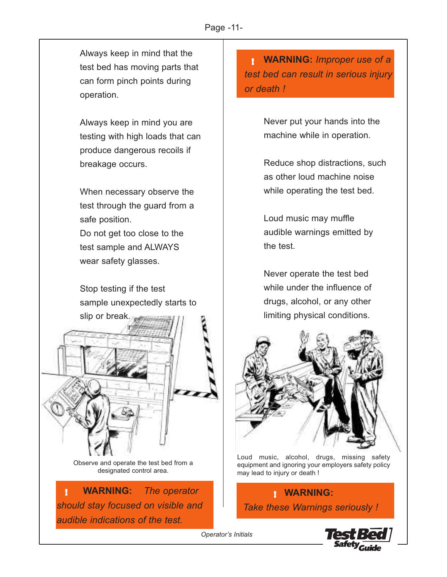Always keep in mind that the test bed has moving parts that can form pinch points during operation.

Always keep in mind you are testing with high loads that can produce dangerous recoils if breakage occurs.

When necessary observe the test through the guard from a safe position.

Do not get too close to the test sample and ALWAYS wear safety glasses.

Stop testing if the test sample unexpectedly starts to



Observe and operate the test bed from a designated control area.

**WARNING:** *The operator should stay focused on visible and audible indications of the test.*

**WARNING:** *Improper use of a* ! *test bed can result in serious injury or death !*

> Never put your hands into the machine while in operation.

Reduce shop distractions, such as other loud machine noise while operating the test bed.

Loud music may muffle audible warnings emitted by the test.

Never operate the test bed while under the influence of drugs, alcohol, or any other limiting physical conditions.



Loud music, alcohol, drugs, missing safety equipment and ignoring your employers safety policy may lead to injury or death !

**WARNING:** *Take these Warnings seriously !*

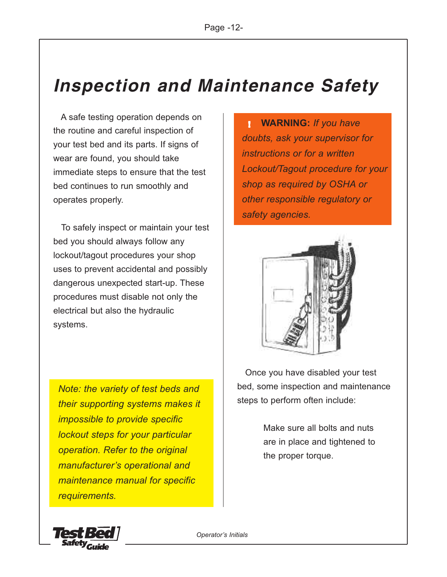# *Inspection and Maintenance Safety*

A safe testing operation depends on the routine and careful inspection of your test bed and its parts. If signs of wear are found, you should take immediate steps to ensure that the test bed continues to run smoothly and operates properly.

To safely inspect or maintain your test bed you should always follow any lockout/tagout procedures your shop uses to prevent accidental and possibly dangerous unexpected start-up. These procedures must disable not only the electrical but also the hydraulic systems.

*Note: the variety of test beds and their supporting systems makes it impossible to provide specific lockout steps for your particular operation. Refer to the original manufacturer's operational and maintenance manual for specific requirements.*

**WARNING:** *If you have doubts, ask your supervisor for instructions or for a written Lockout/Tagout procedure for your shop as required by OSHA or other responsible regulatory or safety agencies.* !



Once you have disabled your test bed, some inspection and maintenance steps to perform often include:

> Make sure all bolts and nuts are in place and tightened to the proper torque.

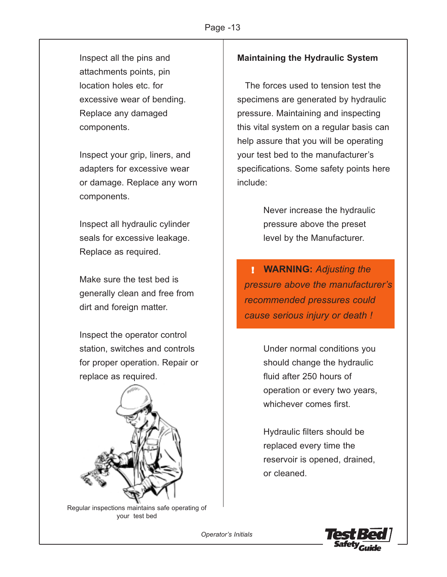Inspect all the pins and attachments points, pin location holes etc. for excessive wear of bending. Replace any damaged components.

Inspect your grip, liners, and adapters for excessive wear or damage. Replace any worn components.

Inspect all hydraulic cylinder seals for excessive leakage. Replace as required.

Make sure the test bed is generally clean and free from dirt and foreign matter.

Inspect the operator control station, switches and controls for proper operation. Repair or replace as required.



Regular inspections maintains safe operating of your test bed

### **Maintaining the Hydraulic System**

The forces used to tension test the specimens are generated by hydraulic pressure. Maintaining and inspecting this vital system on a regular basis can help assure that you will be operating your test bed to the manufacturer's specifications. Some safety points here include:

> Never increase the hydraulic pressure above the preset level by the Manufacturer.

**WARNING:** *Adjusting the* !*pressure above the manufacturer's recommended pressures could cause serious injury or death !*

> Under normal conditions you should change the hydraulic fluid after 250 hours of operation or every two years, whichever comes first.

Hydraulic filters should be replaced every time the reservoir is opened, drained, or cleaned.

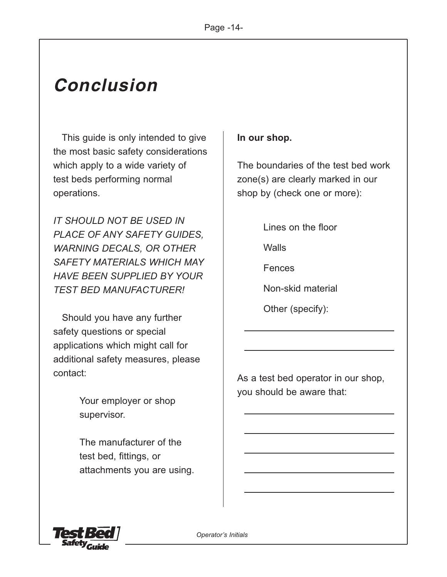# *Conclusion*

This guide is only intended to give the most basic safety considerations which apply to a wide variety of test beds performing normal operations.

*IT SHOULD NOT BE USED IN PLACE OF ANY SAFETY GUIDES, WARNING DECALS, OR OTHER SAFETY MATERIALS WHICH MAY HAVE BEEN SUPPLIED BY YOUR TEST BED MANUFACTURER!*

Should you have any further safety questions or special applications which might call for additional safety measures, please contact:

> Your employer or shop supervisor.

The manufacturer of the test bed, fittings, or attachments you are using.

### **In our shop.**

The boundaries of the test bed work zone(s) are clearly marked in our shop by (check one or more):

Lines on the floor

Walls

Fences

Non-skid material

Other (specify):

As a test bed operator in our shop, you should be aware that: